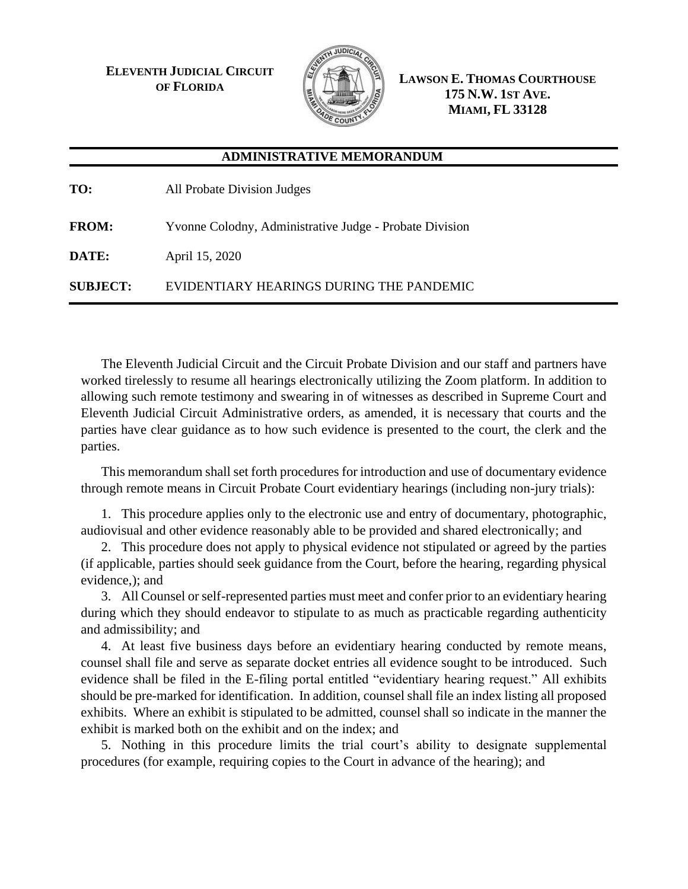**ELEVENTH JUDICIAL CIRCUIT OF FLORIDA**



**LAWSON E. THOMAS COURTHOUSE 175 N.W. 1ST AVE. MIAMI, FL 33128**

## **ADMINISTRATIVE MEMORANDUM**

| TO:             | All Probate Division Judges                             |
|-----------------|---------------------------------------------------------|
| <b>FROM:</b>    | Yvonne Colodny, Administrative Judge - Probate Division |
| DATE:           | April 15, 2020                                          |
| <b>SUBJECT:</b> | EVIDENTIARY HEARINGS DURING THE PANDEMIC                |

The Eleventh Judicial Circuit and the Circuit Probate Division and our staff and partners have worked tirelessly to resume all hearings electronically utilizing the Zoom platform. In addition to allowing such remote testimony and swearing in of witnesses as described in Supreme Court and Eleventh Judicial Circuit Administrative orders, as amended, it is necessary that courts and the parties have clear guidance as to how such evidence is presented to the court, the clerk and the parties.

This memorandum shall set forth procedures for introduction and use of documentary evidence through remote means in Circuit Probate Court evidentiary hearings (including non-jury trials):

1. This procedure applies only to the electronic use and entry of documentary, photographic, audiovisual and other evidence reasonably able to be provided and shared electronically; and

2. This procedure does not apply to physical evidence not stipulated or agreed by the parties (if applicable, parties should seek guidance from the Court, before the hearing, regarding physical evidence,); and

3. All Counsel or self-represented parties must meet and confer prior to an evidentiary hearing during which they should endeavor to stipulate to as much as practicable regarding authenticity and admissibility; and

4. At least five business days before an evidentiary hearing conducted by remote means, counsel shall file and serve as separate docket entries all evidence sought to be introduced. Such evidence shall be filed in the E-filing portal entitled "evidentiary hearing request." All exhibits should be pre-marked for identification. In addition, counsel shall file an index listing all proposed exhibits. Where an exhibit is stipulated to be admitted, counsel shall so indicate in the manner the exhibit is marked both on the exhibit and on the index; and

5. Nothing in this procedure limits the trial court's ability to designate supplemental procedures (for example, requiring copies to the Court in advance of the hearing); and